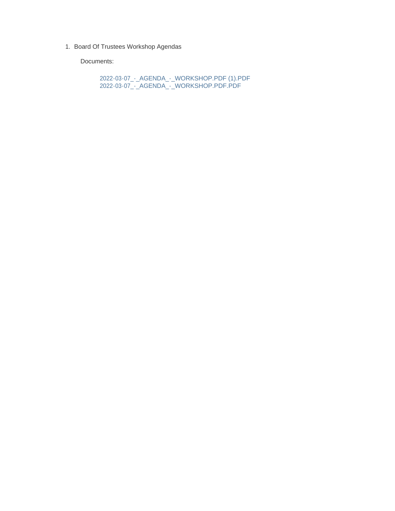1. Board Of Trustees Workshop Agendas

Documents:

2022-03-07\_-\_AGENDA\_-\_WORKSHOP.PDF (1).PDF 2022-03-07\_-\_AGENDA\_-\_WORKSHOP.PDF.PDF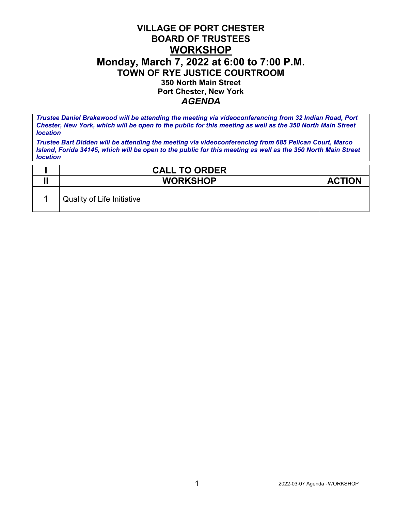## **VILLAGE OF PORT CHESTER BOARD OF TRUSTEES WORKSHOP Monday, March 7, 2022 at 6:00 to 7:00 P.M. TOWN OF RYE JUSTICE COURTROOM 350 North Main Street Port Chester, New York** *AGENDA*

*Trustee Daniel Brakewood will be attending the meeting via videoconferencing from 32 Indian Road, Port Chester, New York, which will be open to the public for this meeting as well as the 350 North Main Street location*

*Trustee Bart Didden will be attending the meeting via videoconferencing from 685 Pelican Court, Marco Island, Forida 34145, which will be open to the public for this meeting as well as the 350 North Main Street location*

| <b>CALL TO ORDER</b>                    |               |
|-----------------------------------------|---------------|
| <b>WORKSHOP</b>                         | <b>ACTION</b> |
| <sup>I</sup> Quality of Life Initiative |               |